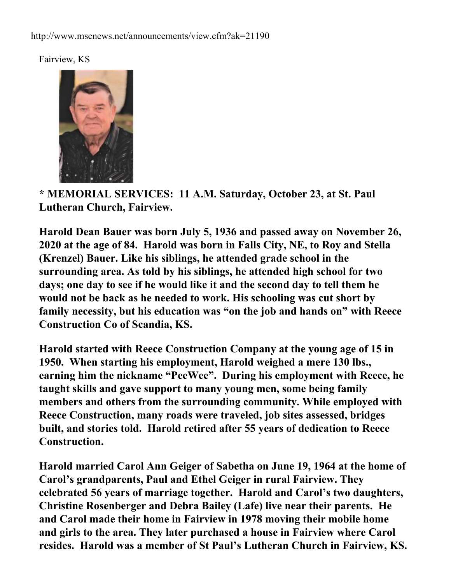Fairview, KS



**\* MEMORIAL SERVICES: 11 A.M. Saturday, October 23, at St. Paul Lutheran Church, Fairview.**

**Harold Dean Bauer was born July 5, 1936 and passed away on November 26, 2020 at the age of 84. Harold was born in Falls City, NE, to Roy and Stella (Krenzel) Bauer. Like his siblings, he attended grade school in the surrounding area. As told by his siblings, he attended high school for two days; one day to see if he would like it and the second day to tell them he would not be back as he needed to work. His schooling was cut short by family necessity, but his education was "on the job and hands on" with Reece Construction Co of Scandia, KS.**

**Harold started with Reece Construction Company at the young age of 15 in 1950. When starting his employment, Harold weighed a mere 130 lbs., earning him the nickname "PeeWee". During his employment with Reece, he taught skills and gave support to many young men, some being family members and others from the surrounding community. While employed with Reece Construction, many roads were traveled, job sites assessed, bridges built, and stories told. Harold retired after 55 years of dedication to Reece Construction.** 

**Harold married Carol Ann Geiger of Sabetha on June 19, 1964 at the home of Carol's grandparents, Paul and Ethel Geiger in rural Fairview. They celebrated 56 years of marriage together. Harold and Carol's two daughters, Christine Rosenberger and Debra Bailey (Lafe) live near their parents. He and Carol made their home in Fairview in 1978 moving their mobile home and girls to the area. They later purchased a house in Fairview where Carol resides. Harold was a member of St Paul's Lutheran Church in Fairview, KS.**